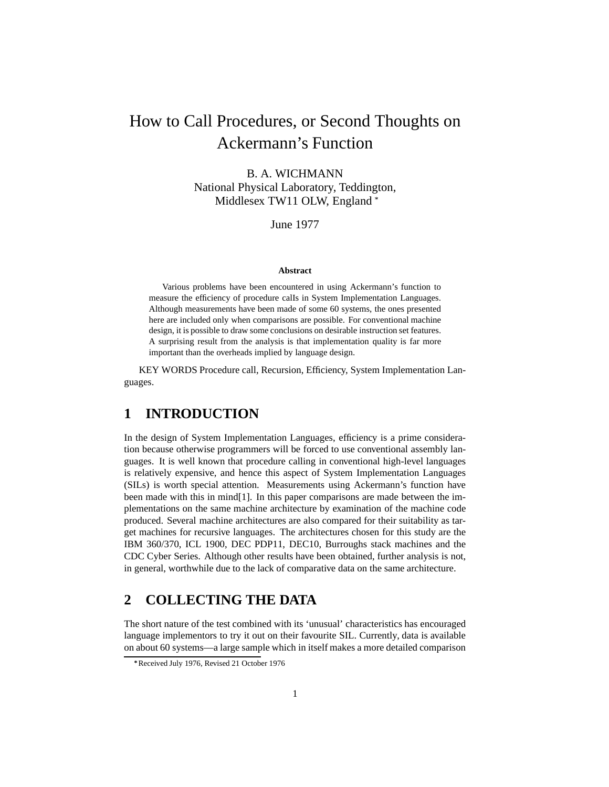# How to Call Procedures, or Second Thoughts on Ackermann's Function

## B. A. WICHMANN National Physical Laboratory, Teddington, Middlesex TW11 OLW, England \*

June 1977

#### **Abstract**

Various problems have been encountered in using Ackermann's function to measure the efficiency of procedure calIs in System Implementation Languages. Although measurements have been made of some 60 systems, the ones presented here are included only when comparisons are possible. For conventional machine design, it is possible to draw some conclusions on desirable instruction set features. A surprising result from the analysis is that implementation quality is far more important than the overheads implied by language design.

KEY WORDS Procedure call, Recursion, Efficiency, System Implementation Languages.

## **1 INTRODUCTION**

In the design of System Implementation Languages, efficiency is a prime consideration because otherwise programmers will be forced to use conventional assembly languages. It is well known that procedure calling in conventional high-level languages is relatively expensive, and hence this aspect of System Implementation Languages (SILs) is worth special attention. Measurements using Ackermann's function have been made with this in mind[1]. In this paper comparisons are made between the implementations on the same machine architecture by examination of the machine code produced. Several machine architectures are also compared for their suitability as target machines for recursive languages. The architectures chosen for this study are the IBM 360/370, ICL 1900, DEC PDP11, DEC10, Burroughs stack machines and the CDC Cyber Series. Although other results have been obtained, further analysis is not, in general, worthwhile due to the lack of comparative data on the same architecture.

## **2 COLLECTING THE DATA**

The short nature of the test combined with its 'unusual' characteristics has encouraged language implementors to try it out on their favourite SIL. Currently, data is available on about 60 systems—a large sample which in itself makes a more detailed comparison

Received July 1976, Revised 21 October 1976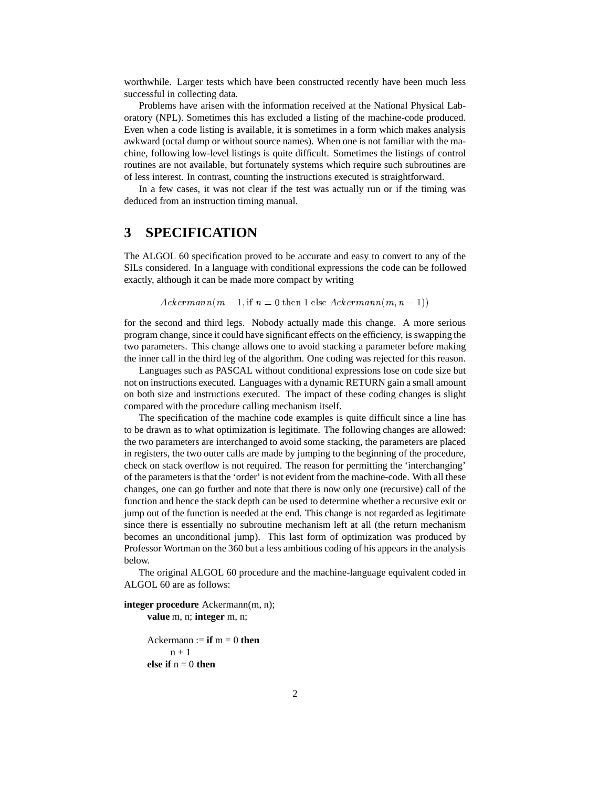worthwhile. Larger tests which have been constructed recently have been much less successful in collecting data.

Problems have arisen with the information received at the National Physical Laboratory (NPL). Sometimes this has excluded a listing of the machine-code produced. Even when a code listing is available, it is sometimes in a form which makes analysis awkward (octal dump or without source names). When one is not familiar with the machine, following low-level listings is quite difficult. Sometimes the listings of control routines are not available, but fortunately systems which require such subroutines are of less interest. In contrast, counting the instructions executed is straightforward.

In a few cases, it was not clear if the test was actually run or if the timing was deduced from an instruction timing manual.

## **3 SPECIFICATION**

The ALGOL 60 specification proved to be accurate and easy to convert to any of the SILs considered. In a language with conditional expressions the code can be followed exactly, although it can be made more compact by writing

 $Ackermann(m-1, \text{if } n=0 \text{ then } 1 \text{ else } Ackermann(m, n-1))$ 

for the second and third legs. Nobody actually made this change. A more serious program change, since it could have significant effects on the efficiency, is swapping the two parameters. This change allows one to avoid stacking a parameter before making the inner call in the third leg of the algorithm. One coding was rejected for this reason.

Languages such as PASCAL without conditional expressions lose on code size but not on instructions executed. Languages with a dynamic RETURN gain a small amount on both size and instructions executed. The impact of these coding changes is slight compared with the procedure calling mechanism itself.

The specification of the machine code examples is quite difficult since a line has to be drawn as to what optimization is legitimate. The following changes are allowed: the two parameters are interchanged to avoid some stacking, the parameters are placed in registers, the two outer calls are made by jumping to the beginning of the procedure, check on stack overflow is not required. The reason for permitting the 'interchanging' of the parametersis that the 'order' is not evident from the machine-code. With all these changes, one can go further and note that there is now only one (recursive) call of the function and hence the stack depth can be used to determine whether a recursive exit or jump out of the function is needed at the end. This change is not regarded as legitimate since there is essentially no subroutine mechanism left at all (the return mechanism becomes an unconditional jump). This last form of optimization was produced by Professor Wortman on the 360 but a less ambitious coding of his appears in the analysis below.

The original ALGOL 60 procedure and the machine-language equivalent coded in ALGOL 60 are as follows:

**integer procedure** Ackermann(m, n); **value** m, n; **integer** m, n;

Ackermann  $:=$  **if**  $m = 0$  **then**  $n + 1$ **else if**  $n = 0$  **then**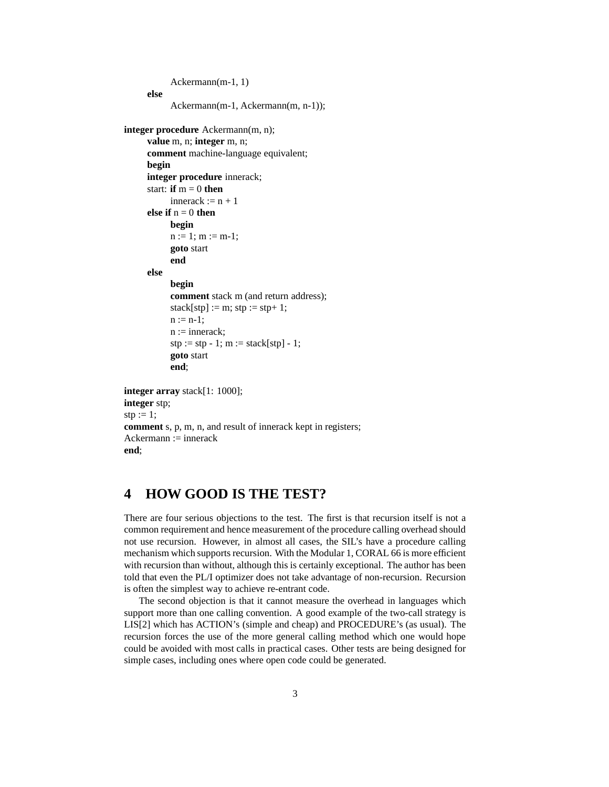```
Ackermann(m-1, 1)
     else
           Ackermann(m-1, Ackermann(m, n-1));
integer procedure Ackermann(m, n);
     value m, n; integer m, n;
     comment machine-language equivalent;
     begin
     integer procedure innerack;
     start: if m = 0 then
           innerack := n + 1else if n = 0 then
           begin
           n := 1; m := m-1;goto start
           end
     else
           begin
           comment stack m (and return address);
           stack[stp] := m; stp := stp+ 1;
           n := n-1:
           n := innerack;
           stp := stp - 1; m := stack[stp] - 1;goto start
           end;
integer array stack[1: 1000];
integer stp;
sty := 1;comment s, p, m, n, and result of innerack kept in registers;
Ackermann := innerack
end;
```
## **4 HOW GOOD IS THE TEST?**

There are four serious objections to the test. The first is that recursion itself is not a common requirement and hence measurement of the procedure calling overhead should not use recursion. However, in almost all cases, the SIL's have a procedure calling mechanism which supports recursion. With the Modular 1, CORAL 66 is more efficient with recursion than without, although this is certainly exceptional. The author has been told that even the PL/I optimizer does not take advantage of non-recursion. Recursion is often the simplest way to achieve re-entrant code.

The second objection is that it cannot measure the overhead in languages which support more than one calling convention. A good example of the two-call strategy is LIS[2] which has ACTION's (simple and cheap) and PROCEDURE's (as usual). The recursion forces the use of the more general calling method which one would hope could be avoided with most calls in practical cases. Other tests are being designed for simple cases, including ones where open code could be generated.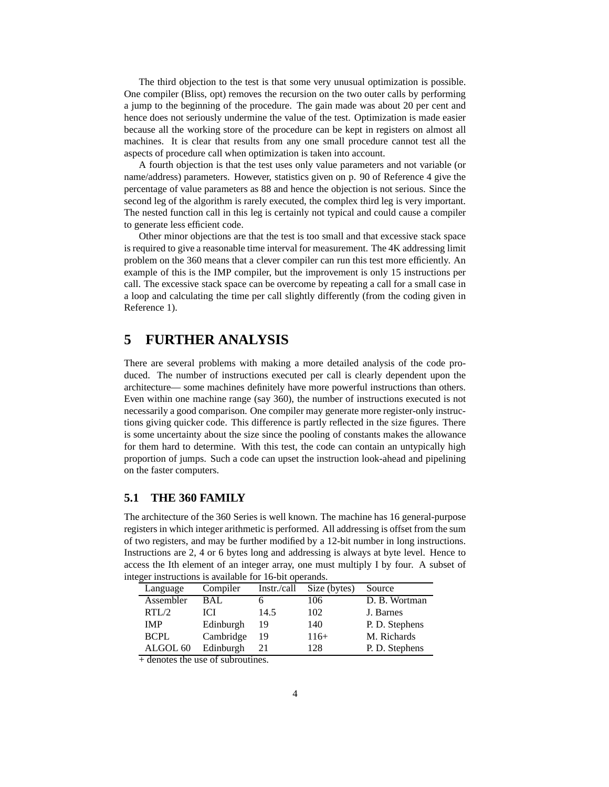The third objection to the test is that some very unusual optimization is possible. One compiler (Bliss, opt) removes the recursion on the two outer calls by performing a jump to the beginning of the procedure. The gain made was about 20 per cent and hence does not seriously undermine the value of the test. Optimization is made easier because all the working store of the procedure can be kept in registers on almost all machines. It is clear that results from any one small procedure cannot test all the aspects of procedure call when optimization is taken into account.

A fourth objection is that the test uses only value parameters and not variable (or name/address) parameters. However, statistics given on p. 90 of Reference 4 give the percentage of value parameters as 88 and hence the objection is not serious. Since the second leg of the algorithm is rarely executed, the complex third leg is very important. The nested function call in this leg is certainly not typical and could cause a compiler to generate less efficient code.

Other minor objections are that the test is too small and that excessive stack space is required to give a reasonable time interval for measurement. The 4K addressing limit problem on the 360 means that a clever compiler can run this test more efficiently. An example of this is the IMP compiler, but the improvement is only 15 instructions per call. The excessive stack space can be overcome by repeating a call for a small case in a loop and calculating the time per call slightly differently (from the coding given in Reference 1).

## **5 FURTHER ANALYSIS**

There are several problems with making a more detailed analysis of the code produced. The number of instructions executed per call is clearly dependent upon the architecture— some machines definitely have more powerful instructions than others. Even within one machine range (say 360), the number of instructions executed is not necessarily a good comparison. One compiler may generate more register-only instructions giving quicker code. This difference is partly reflected in the size figures. There is some uncertainty about the size since the pooling of constants makes the allowance for them hard to determine. With this test, the code can contain an untypically high proportion of jumps. Such a code can upset the instruction look-ahead and pipelining on the faster computers.

## **5.1 THE 360 FAMILY**

The architecture of the 360 Series is well known. The machine has 16 general-purpose registers in which integer arithmetic is performed. All addressing is offset from the sum of two registers, and may be further modified by a 12-bit number in long instructions. Instructions are 2, 4 or 6 bytes long and addressing is always at byte level. Hence to access the Ith element of an integer array, one must multiply I by four. A subset of integer instructions is available for 16-bit operands.

| Language            | Compiler  | Instr./call | Size (bytes) | Source         |
|---------------------|-----------|-------------|--------------|----------------|
| Assembler           | BAL       |             | 106          | D. B. Wortman  |
| RTL/2               | IСI       | 14.5        | 102          | J. Barnes      |
| <b>IMP</b>          | Edinburgh | 19          | 140          | P. D. Stephens |
| <b>BCPL</b>         | Cambridge | 19          | $116+$       | M. Richards    |
| ALGOL <sub>60</sub> | Edinburgh | 21          | 128          | P. D. Stephens |

 $+$  denotes the use of subroutines.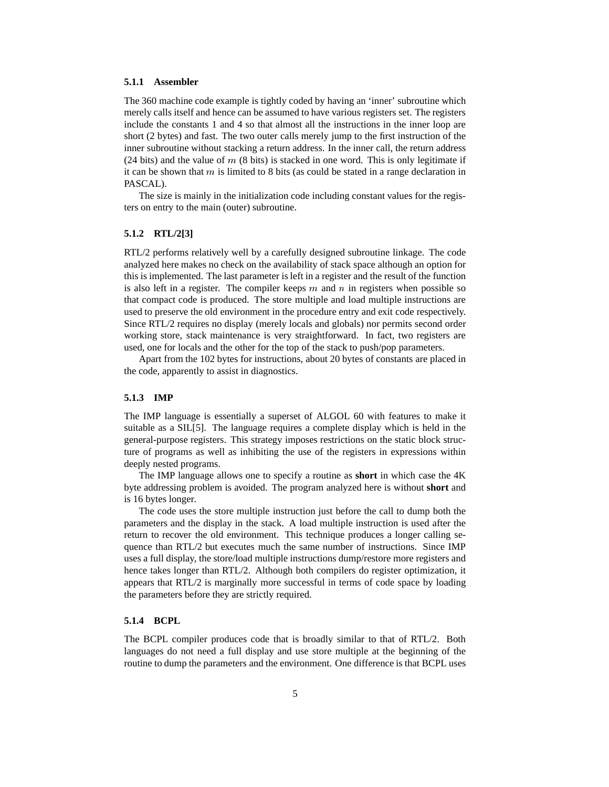### **5.1.1 Assembler**

The 360 machine code example is tightly coded by having an 'inner' subroutine which merely calls itself and hence can be assumed to have various registers set. The registers include the constants 1 and 4 so that almost all the instructions in the inner loop are short (2 bytes) and fast. The two outer calls merely jump to the first instruction of the inner subroutine without stacking a return address. In the inner call, the return address (24 bits) and the value of  $m$  (8 bits) is stacked in one word. This is only legitimate if it can be shown that  $m$  is limited to 8 bits (as could be stated in a range declaration in PASCAL).

The size is mainly in the initialization code including constant values for the registers on entry to the main (outer) subroutine.

## **5.1.2 RTL/2[3]**

RTL/2 performs relatively well by a carefully designed subroutine linkage. The code analyzed here makes no check on the availability of stack space although an option for this is implemented. The last parameter is left in a register and the result of the function is also left in a register. The compiler keeps  $m$  and  $n$  in registers when possible so that compact code is produced. The store multiple and load multiple instructions are used to preserve the old environment in the procedure entry and exit code respectively. Since RTL/2 requires no display (merely locals and globals) nor permits second order working store, stack maintenance is very straightforward. In fact, two registers are used, one for locals and the other for the top of the stack to push/pop parameters.

Apart from the 102 bytes for instructions, about 20 bytes of constants are placed in the code, apparently to assist in diagnostics.

#### **5.1.3 IMP**

The IMP language is essentially a superset of ALGOL 60 with features to make it suitable as a SIL[5]. The language requires a complete display which is held in the general-purpose registers. This strategy imposes restrictions on the static block structure of programs as well as inhibiting the use of the registers in expressions within deeply nested programs.

The IMP language allows one to specify a routine as **short** in which case the 4K byte addressing problem is avoided. The program analyzed here is without **short** and is 16 bytes longer.

The code uses the store multiple instruction just before the call to dump both the parameters and the display in the stack. A load multiple instruction is used after the return to recover the old environment. This technique produces a longer calling sequence than RTL/2 but executes much the same number of instructions. Since IMP uses a full display, the store/load multiple instructions dump/restore more registers and hence takes longer than RTL/2. Although both compilers do register optimization, it appears that RTL/2 is marginally more successful in terms of code space by loading the parameters before they are strictly required.

### **5.1.4 BCPL**

The BCPL compiler produces code that is broadly similar to that of RTL/2. Both languages do not need a full display and use store multiple at the beginning of the routine to dump the parameters and the environment. One difference is that BCPL uses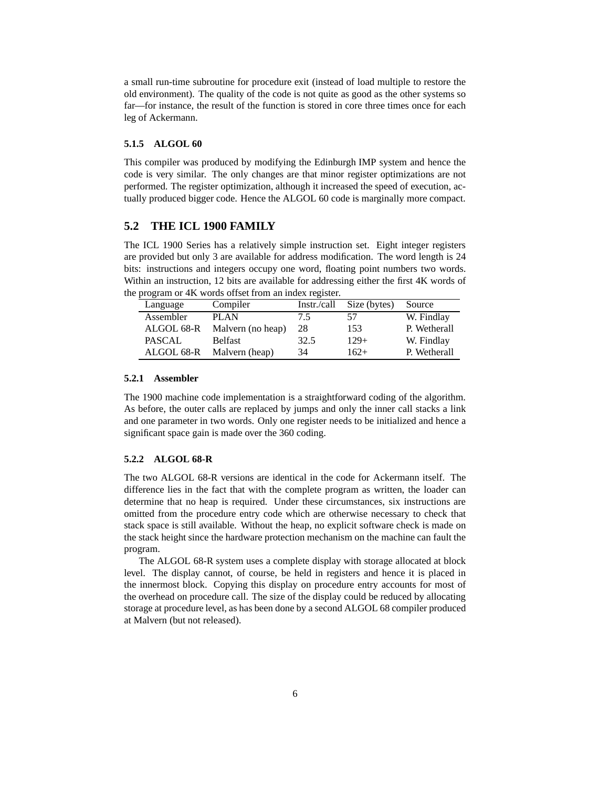a small run-time subroutine for procedure exit (instead of load multiple to restore the old environment). The quality of the code is not quite as good as the other systems so far—for instance, the result of the function is stored in core three times once for each leg of Ackermann.

## **5.1.5 ALGOL 60**

This compiler was produced by modifying the Edinburgh IMP system and hence the code is very similar. The only changes are that minor register optimizations are not performed. The register optimization, although it increased the speed of execution, actually produced bigger code. Hence the ALGOL 60 code is marginally more compact.

## **5.2 THE ICL 1900 FAMILY**

The ICL 1900 Series has a relatively simple instruction set. Eight integer registers are provided but only 3 are available for address modification. The word length is 24 bits: instructions and integers occupy one word, floating point numbers two words. Within an instruction, 12 bits are available for addressing either the first 4K words of the program or 4K words offset from an index register.

| Language      | Compiler          | Instr./call | Size (bytes) | Source       |
|---------------|-------------------|-------------|--------------|--------------|
| Assembler     | PLAN              | 7.5         | 57           | W. Findlay   |
| ALGOL 68-R    | Malvern (no heap) | 28          | 153          | P. Wetherall |
| <b>PASCAL</b> | <b>Belfast</b>    | 32.5        | $129+$       | W. Findlay   |
| ALGOL 68-R    | Malvern (heap)    | 34          | $162+$       | P. Wetherall |
|               |                   |             |              |              |

### **5.2.1 Assembler**

The 1900 machine code implementation is a straightforward coding of the algorithm. As before, the outer calls are replaced by jumps and only the inner call stacks a link and one parameter in two words. Only one register needs to be initialized and hence a significant space gain is made over the 360 coding.

## **5.2.2 ALGOL 68-R**

The two ALGOL 68-R versions are identical in the code for Ackermann itself. The difference lies in the fact that with the complete program as written, the loader can determine that no heap is required. Under these circumstances, six instructions are omitted from the procedure entry code which are otherwise necessary to check that stack space is still available. Without the heap, no explicit software check is made on the stack height since the hardware protection mechanism on the machine can fault the program.

The ALGOL 68-R system uses a complete display with storage allocated at block level. The display cannot, of course, be held in registers and hence it is placed in the innermost block. Copying this display on procedure entry accounts for most of the overhead on procedure call. The size of the display could be reduced by allocating storage at procedure level, as has been done by a second ALGOL 68 compiler produced at Malvern (but not released).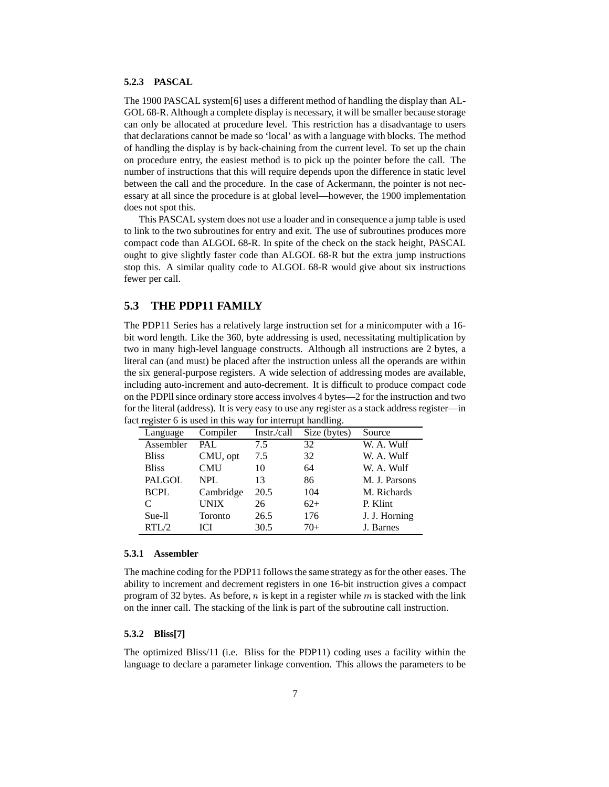## **5.2.3 PASCAL**

The 1900 PASCAL system[6] uses a different method of handling the display than AL-GOL 68-R. Although a complete display is necessary, it will be smaller because storage can only be allocated at procedure level. This restriction has a disadvantage to users that declarations cannot be made so 'local' as with a language with blocks. The method of handling the display is by back-chaining from the current level. To set up the chain on procedure entry, the easiest method is to pick up the pointer before the call. The number of instructions that this will require depends upon the difference in static level between the call and the procedure. In the case of Ackermann, the pointer is not necessary at all since the procedure is at global level—however, the 1900 implementation does not spot this.

This PASCAL system does not use a loader and in consequence a jump table is used to link to the two subroutines for entry and exit. The use of subroutines produces more compact code than ALGOL 68-R. In spite of the check on the stack height, PASCAL ought to give slightly faster code than ALGOL 68-R but the extra jump instructions stop this. A similar quality code to ALGOL 68-R would give about six instructions fewer per call.

## **5.3 THE PDP11 FAMILY**

The PDP11 Series has a relatively large instruction set for a minicomputer with a 16 bit word length. Like the 360, byte addressing is used, necessitating multiplication by two in many high-level language constructs. Although all instructions are 2 bytes, a literal can (and must) be placed after the instruction unless all the operands are within the six general-purpose registers. A wide selection of addressing modes are available, including auto-increment and auto-decrement. It is difficult to produce compact code on the PDPllsince ordinary store access involves 4 bytes—2 for the instruction and two for the literal (address). It is very easy to use any register as a stack address register—in fact register 6 is used in this way for interrupt handling.

| Language      | Compiler    | Instr./call | Size (bytes) | Source        |
|---------------|-------------|-------------|--------------|---------------|
| Assembler     | PAL         | 7.5         | 32           | W. A. Wulf    |
| <b>Bliss</b>  | CMU, opt    | 7.5         | 32           | W. A. Wulf    |
| <b>Bliss</b>  | <b>CMU</b>  | 10          | 64           | W. A. Wulf    |
| <b>PALGOL</b> | <b>NPL</b>  | 13          | 86           | M. J. Parsons |
| <b>BCPL</b>   | Cambridge   | 20.5        | 104          | M. Richards   |
| C             | <b>UNIX</b> | 26          | $62+$        | P. Klint      |
| Sue-ll        | Toronto     | 26.5        | 176          | J. J. Horning |
| RTL/2         | <b>ICI</b>  | 30.5        | $70+$        | J. Barnes     |

#### **5.3.1 Assembler**

The machine coding for the PDP11 followsthe same strategy as for the other eases. The ability to increment and decrement registers in one 16-bit instruction gives a compact program of 32 bytes. As before,  $n$  is kept in a register while  $m$  is stacked with the link on the inner call. The stacking of the link is part of the subroutine call instruction.

## **5.3.2 Bliss[7]**

The optimized Bliss/11 (i.e. Bliss for the PDP11) coding uses a facility within the language to declare a parameter linkage convention. This allows the parameters to be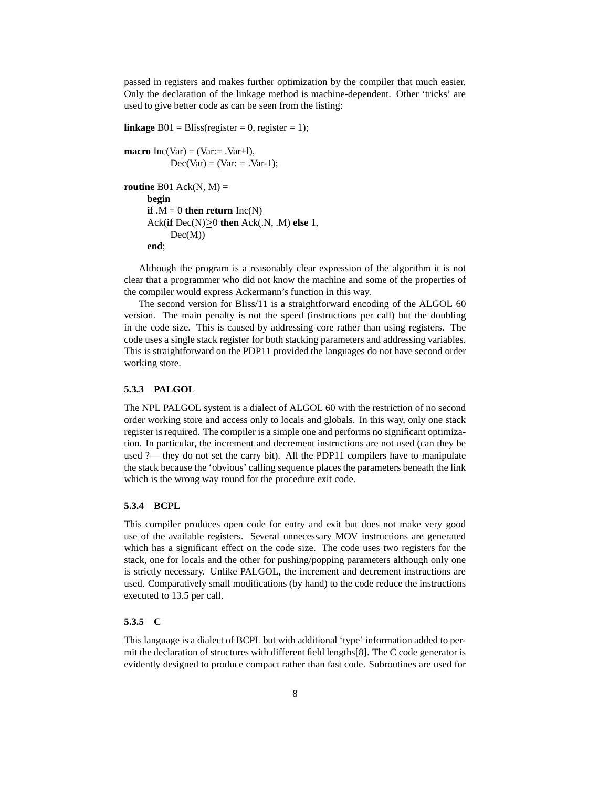passed in registers and makes further optimization by the compiler that much easier. Only the declaration of the linkage method is machine-dependent. Other 'tricks' are used to give better code as can be seen from the listing:

```
linkage B01 = \text{Bliss}(\text{register} = 0, \text{register} = 1);macro Inc(Var) = (Var = Var + 1),
              Dec(Var) = (Var: = .Var-1);routine B01 Ack(N, M) =
       begin
       if .M = 0 then return Inc(N)\text{Ack}(\textbf{if Dec}(N) \geq 0 \textbf{ then } \text{Ack}(N, \cdot, M) \textbf{ else } 1,Dec(M))end;
```
Although the program is a reasonably clear expression of the algorithm it is not clear that a programmer who did not know the machine and some of the properties of the compiler would express Ackermann's function in this way.

The second version for Bliss/11 is a straightforward encoding of the ALGOL 60 version. The main penalty is not the speed (instructions per call) but the doubling in the code size. This is caused by addressing core rather than using registers. The code uses a single stack register for both stacking parameters and addressing variables. This is straightforward on the PDP11 provided the languages do not have second order working store.

### **5.3.3 PALGOL**

The NPL PALGOL system is a dialect of ALGOL 60 with the restriction of no second order working store and access only to locals and globals. In this way, only one stack register is required. The compiler is a simple one and performs no significant optimization. In particular, the increment and decrement instructions are not used (can they be used ?— they do not set the carry bit). All the PDP11 compilers have to manipulate the stack because the 'obvious' calling sequence places the parameters beneath the link which is the wrong way round for the procedure exit code.

#### **5.3.4 BCPL**

This compiler produces open code for entry and exit but does not make very good use of the available registers. Several unnecessary MOV instructions are generated which has a significant effect on the code size. The code uses two registers for the stack, one for locals and the other for pushing/popping parameters although only one is strictly necessary. Unlike PALGOL, the increment and decrement instructions are used. Comparatively small modifications (by hand) to the code reduce the instructions executed to 13.5 per call.

## **5.3.5 C**

This language is a dialect of BCPL but with additional 'type' information added to permit the declaration of structures with different field lengths[8]. The C code generator is evidently designed to produce compact rather than fast code. Subroutines are used for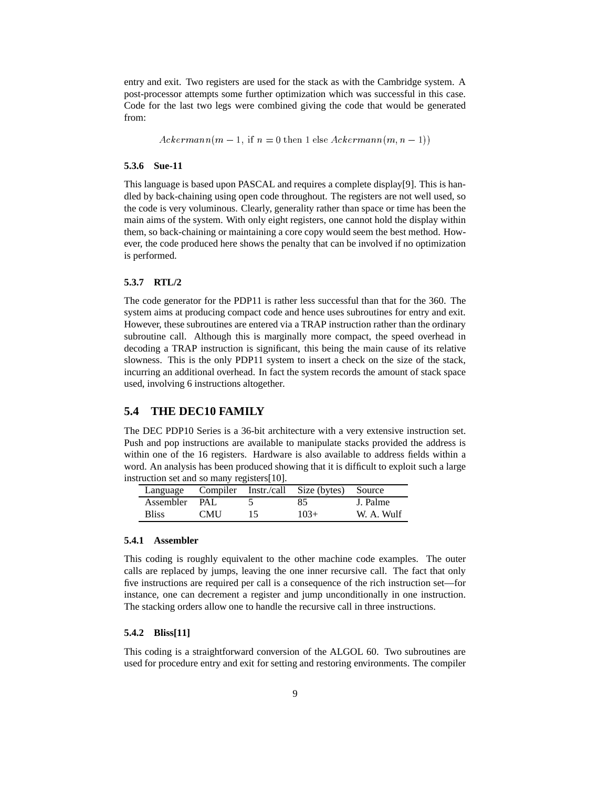entry and exit. Two registers are used for the stack as with the Cambridge system. A post-processor attempts some further optimization which was successful in this case. Code for the last two legs were combined giving the code that would be generated from:

 $Ackermann(m-1, if n = 0 then 1 else Ackermann(m, n-1))$ 

#### **5.3.6 Sue-11**

This language is based upon PASCAL and requires a complete display[9]. This is handled by back-chaining using open code throughout. The registers are not well used, so the code is very voluminous. Clearly, generality rather than space or time has been the main aims of the system. With only eight registers, one cannot hold the display within them, so back-chaining or maintaining a core copy would seem the best method. However, the code produced here shows the penalty that can be involved if no optimization is performed.

### **5.3.7 RTL/2**

The code generator for the PDP11 is rather less successful than that for the 360. The system aims at producing compact code and hence uses subroutines for entry and exit. However, these subroutines are entered via a TRAP instruction rather than the ordinary subroutine call. Although this is marginally more compact, the speed overhead in decoding a TRAP instruction is significant, this being the main cause of its relative slowness. This is the only PDP11 system to insert a check on the size of the stack, incurring an additional overhead. In fact the system records the amount of stack space used, involving 6 instructions altogether.

## **5.4 THE DEC10 FAMILY**

The DEC PDP10 Series is a 36-bit architecture with a very extensive instruction set. Push and pop instructions are available to manipulate stacks provided the address is within one of the 16 registers. Hardware is also available to address fields within a word. An analysis has been produced showing that it is difficult to exploit such a large instruction set and so many registers[10].

|               |            |    | Language Compiler Instr./call Size (bytes) Source |            |
|---------------|------------|----|---------------------------------------------------|------------|
| Assembler PAL |            |    | 85                                                | J. Palme   |
| <b>Bliss</b>  | <b>CMU</b> | 15 | $103+$                                            | W. A. Wulf |

### **5.4.1 Assembler**

This coding is roughly equivalent to the other machine code examples. The outer calls are replaced by jumps, leaving the one inner recursive call. The fact that only five instructions are required per call is a consequence of the rich instruction set—for instance, one can decrement a register and jump unconditionally in one instruction. The stacking orders allow one to handle the recursive call in three instructions.

## **5.4.2 Bliss[11]**

This coding is a straightforward conversion of the ALGOL 60. Two subroutines are used for procedure entry and exit for setting and restoring environments. The compiler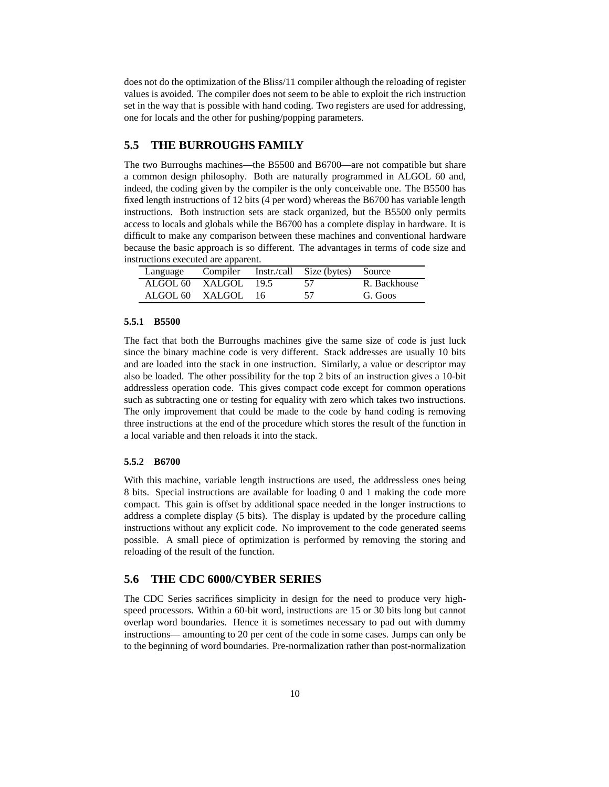does not do the optimization of the Bliss/11 compiler although the reloading of register values is avoided. The compiler does not seem to be able to exploit the rich instruction set in the way that is possible with hand coding. Two registers are used for addressing, one for locals and the other for pushing/popping parameters.

## **5.5 THE BURROUGHS FAMILY**

The two Burroughs machines—the B5500 and B6700—are not compatible but share a common design philosophy. Both are naturally programmed in ALGOL 60 and, indeed, the coding given by the compiler is the only conceivable one. The B5500 has fixed length instructions of 12 bits (4 per word) whereas the B6700 has variable length instructions. Both instruction sets are stack organized, but the B5500 only permits access to locals and globals while the B6700 has a complete display in hardware. It is difficult to make any comparison between these machines and conventional hardware because the basic approach is so different. The advantages in terms of code size and instructions executed are apparent.

|                      |  | Language Compiler Instr./call Size (bytes) Source |              |
|----------------------|--|---------------------------------------------------|--------------|
| ALGOL 60 XALGOL 19.5 |  | 57                                                | R. Backhouse |
| ALGOL 60 XALGOL 16   |  | -57                                               | G. Goos      |

#### **5.5.1 B5500**

The fact that both the Burroughs machines give the same size of code is just luck since the binary machine code is very different. Stack addresses are usually 10 bits and are loaded into the stack in one instruction. Similarly, a value or descriptor may also be loaded. The other possibility for the top 2 bits of an instruction gives a 10-bit addressless operation code. This gives compact code except for common operations such as subtracting one or testing for equality with zero which takes two instructions. The only improvement that could be made to the code by hand coding is removing three instructions at the end of the procedure which stores the result of the function in a local variable and then reloads it into the stack.

#### **5.5.2 B6700**

With this machine, variable length instructions are used, the addressless ones being 8 bits. Special instructions are available for loading 0 and 1 making the code more compact. This gain is offset by additional space needed in the longer instructions to address a complete display (5 bits). The display is updated by the procedure calling instructions without any explicit code. No improvement to the code generated seems possible. A small piece of optimization is performed by removing the storing and reloading of the result of the function.

## **5.6 THE CDC 6000/CYBER SERIES**

The CDC Series sacrifices simplicity in design for the need to produce very highspeed processors. Within a 60-bit word, instructions are 15 or 30 bits long but cannot overlap word boundaries. Hence it is sometimes necessary to pad out with dummy instructions— amounting to 20 per cent of the code in some cases. Jumps can only be to the beginning of word boundaries. Pre-normalization rather than post-normalization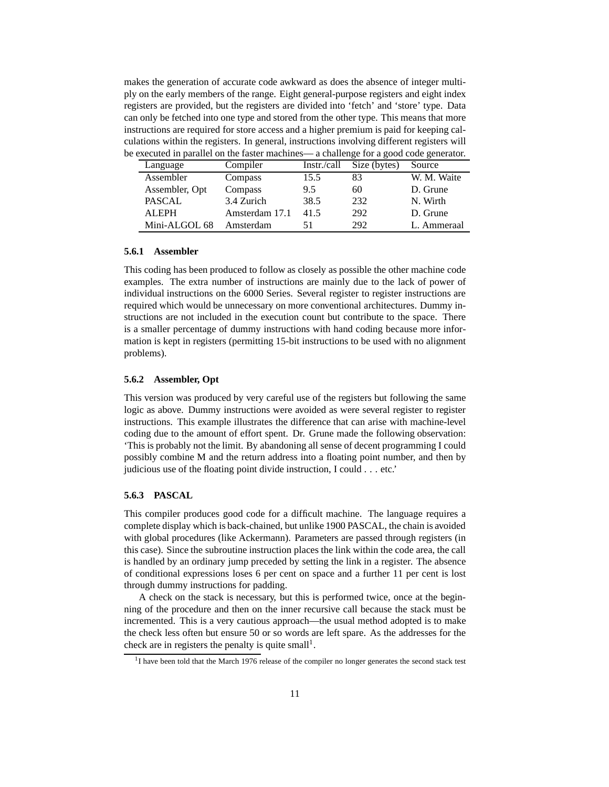makes the generation of accurate code awkward as does the absence of integer multiply on the early members of the range. Eight general-purpose registers and eight index registers are provided, but the registers are divided into 'fetch' and 'store' type. Data can only be fetched into one type and stored from the other type. This means that more instructions are required for store access and a higher premium is paid for keeping calculations within the registers. In general, instructions involving different registers will be executed in parallel on the faster machines— a challenge for a good code generator.

| Language       | Compiler       | Instr./call | Size (bytes) | Source      |
|----------------|----------------|-------------|--------------|-------------|
| Assembler      | Compass        | 15.5        | 83           | W. M. Waite |
| Assembler, Opt | Compass        | 9.5         | 60           | D. Grune    |
| PASCAL         | 3.4 Zurich     | 38.5        | 232          | N. Wirth    |
| ALEPH          | Amsterdam 17.1 | 41.5        | 292          | D. Grune    |
| Mini-ALGOL 68  | Amsterdam      | 51          | 292          | L. Ammeraal |

### **5.6.1 Assembler**

This coding has been produced to follow as closely as possible the other machine code examples. The extra number of instructions are mainly due to the lack of power of individual instructions on the 6000 Series. Several register to register instructions are required which would be unnecessary on more conventional architectures. Dummy instructions are not included in the execution count but contribute to the space. There is a smaller percentage of dummy instructions with hand coding because more information is kept in registers (permitting 15-bit instructions to be used with no alignment problems).

#### **5.6.2 Assembler, Opt**

This version was produced by very careful use of the registers but following the same logic as above. Dummy instructions were avoided as were several register to register instructions. This example illustrates the difference that can arise with machine-level coding due to the amount of effort spent. Dr. Grune made the following observation: 'This is probably not the limit. By abandoning all sense of decent programming I could possibly combine M and the return address into a floating point number, and then by judicious use of the floating point divide instruction, I could . . . etc.'

#### **5.6.3 PASCAL**

This compiler produces good code for a difficult machine. The language requires a complete display which is back-chained, but unlike 1900 PASCAL, the chain is avoided with global procedures (like Ackermann). Parameters are passed through registers (in this case). Since the subroutine instruction places the link within the code area, the call is handled by an ordinary jump preceded by setting the link in a register. The absence of conditional expressions loses 6 per cent on space and a further 11 per cent is lost through dummy instructions for padding.

A check on the stack is necessary, but this is performed twice, once at the beginning of the procedure and then on the inner recursive call because the stack must be incremented. This is a very cautious approach—the usual method adopted is to make the check less often but ensure 50 or so words are left spare. As the addresses for the check are in registers the penalty is quite small<sup>1</sup>.

<sup>&</sup>lt;sup>1</sup>I have been told that the March 1976 release of the compiler no longer generates the second stack test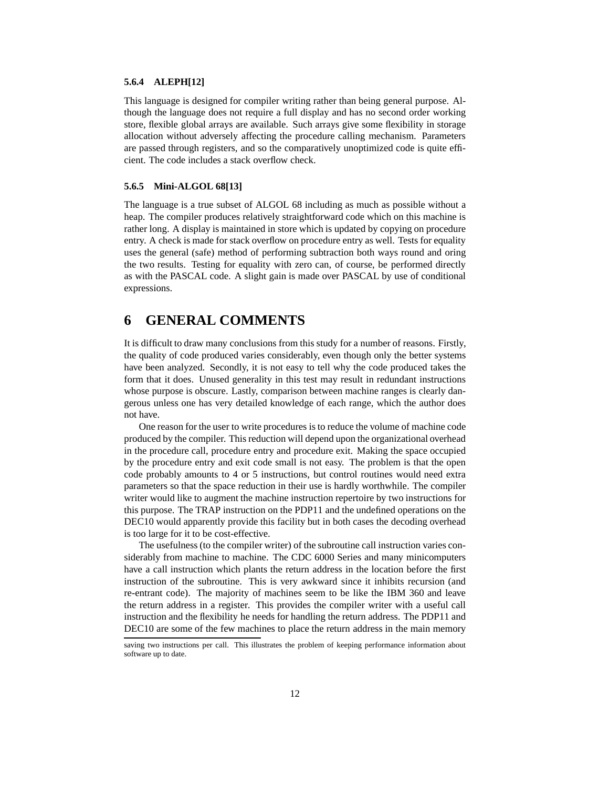### **5.6.4 ALEPH[12]**

This language is designed for compiler writing rather than being general purpose. Although the language does not require a full display and has no second order working store, flexible global arrays are available. Such arrays give some flexibility in storage allocation without adversely affecting the procedure calling mechanism. Parameters are passed through registers, and so the comparatively unoptimized code is quite efficient. The code includes a stack overflow check.

### **5.6.5 Mini-ALGOL 68[13]**

The language is a true subset of ALGOL 68 including as much as possible without a heap. The compiler produces relatively straightforward code which on this machine is rather long. A display is maintained in store which is updated by copying on procedure entry. A check is made for stack overflow on procedure entry as well. Tests for equality uses the general (safe) method of performing subtraction both ways round and oring the two results. Testing for equality with zero can, of course, be performed directly as with the PASCAL code. A slight gain is made over PASCAL by use of conditional expressions.

## **6 GENERAL COMMENTS**

It is difficult to draw many conclusions from this study for a number of reasons. Firstly, the quality of code produced varies considerably, even though only the better systems have been analyzed. Secondly, it is not easy to tell why the code produced takes the form that it does. Unused generality in this test may result in redundant instructions whose purpose is obscure. Lastly, comparison between machine ranges is clearly dangerous unless one has very detailed knowledge of each range, which the author does not have.

One reason for the user to write procedures is to reduce the volume of machine code produced by the compiler. This reduction will depend upon the organizational overhead in the procedure call, procedure entry and procedure exit. Making the space occupied by the procedure entry and exit code small is not easy. The problem is that the open code probably amounts to 4 or 5 instructions, but control routines would need extra parameters so that the space reduction in their use is hardly worthwhile. The compiler writer would like to augment the machine instruction repertoire by two instructions for this purpose. The TRAP instruction on the PDP11 and the undefined operations on the DEC10 would apparently provide this facility but in both cases the decoding overhead is too large for it to be cost-effective.

The usefulness(to the compiler writer) of the subroutine call instruction varies considerably from machine to machine. The CDC 6000 Series and many minicomputers have a call instruction which plants the return address in the location before the first instruction of the subroutine. This is very awkward since it inhibits recursion (and re-entrant code). The majority of machines seem to be like the IBM 360 and leave the return address in a register. This provides the compiler writer with a useful call instruction and the flexibility he needs for handling the return address. The PDP11 and DEC10 are some of the few machines to place the return address in the main memory

saving two instructions per call. This illustrates the problem of keeping performance information about software up to date.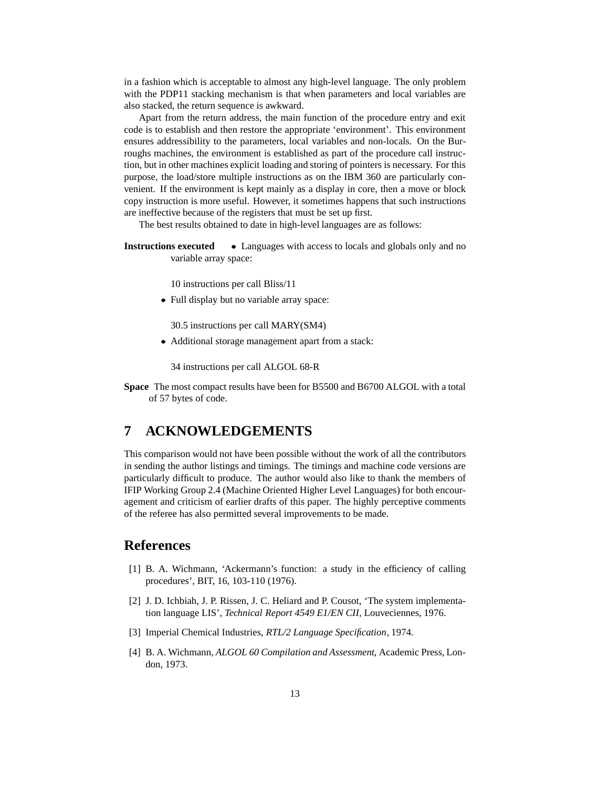in a fashion which is acceptable to almost any high-level language. The only problem with the PDP11 stacking mechanism is that when parameters and local variables are also stacked, the return sequence is awkward.

Apart from the return address, the main function of the procedure entry and exit code is to establish and then restore the appropriate 'environment'. This environment ensures addressibility to the parameters, local variables and non-locals. On the Burroughs machines, the environment is established as part of the procedure call instruction, but in other machines explicit loading and storing of pointers is necessary. For this purpose, the load/store multiple instructions as on the IBM 360 are particularly convenient. If the environment is kept mainly as a display in core, then a move or block copy instruction is more useful. However, it sometimes happens that such instructions are ineffective because of the registers that must be set up first.

The best results obtained to date in high-level languages are as follows:

**Instructions executed** • Languages with access to locals and globals only and no variable array space:

10 instructions per call Bliss/11

? Full display but no variable array space:

30.5 instructions per call MARY(SM4)

? Additional storage management apart from a stack:

34 instructions per call ALGOL 68-R

**Space** The most compact results have been for B5500 and B6700 ALGOL with a total of 57 bytes of code.

## **7 ACKNOWLEDGEMENTS**

This comparison would not have been possible without the work of all the contributors in sending the author listings and timings. The timings and machine code versions are particularly difficult to produce. The author would also like to thank the members of IFIP Working Group 2.4 (Machine Oriented Higher Level Languages) for both encouragement and criticism of earlier drafts of this paper. The highly perceptive comments of the referee has also permitted several improvements to be made.

## **References**

- [1] B. A. Wichmann, 'Ackermann's function: a study in the efficiency of calling procedures', BIT, 16, 103-110 (1976).
- [2] J. D. Ichbiah, J. P. Rissen, J. C. Heliard and P. Cousot, 'The system implementation language LIS', *Technical Report 4549 E1/EN CII*, Louveciennes, 1976.
- [3] Imperial Chemical Industries, *RTL/2 Language Specification*, 1974.
- [4] B. A. Wichmann, *ALGOL 60 Compilation and Assessment*, Academic Press, London, 1973.